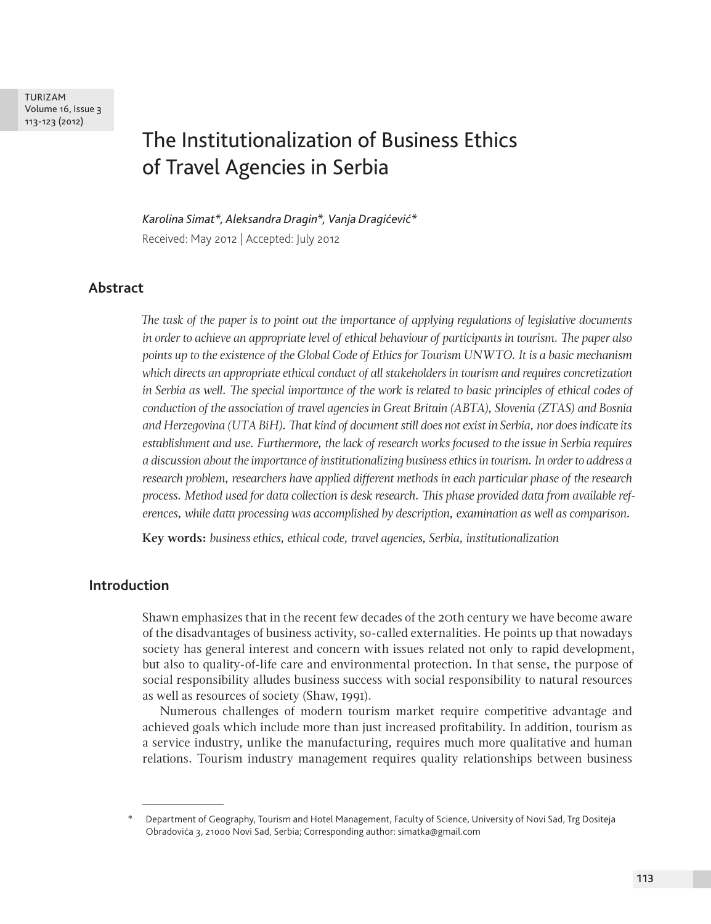TURIZAM Volume 16, Issue 3 113-123 (2012)

# The Institutionalization of Business Ethics of Travel Agencies in Serbia

*Karolina Simat\*, Aleksandra Dragin\*, Vanja Dragićević\** Received: May 2012 | Accepted: July 2012

#### **Abstract**

*The task of the paper is to point out the importance of applying regulations of legislative documents in order to achieve an appropriate level of ethical behaviour of participants in tourism. The paper also points up to the existence of the Global Code of Ethics for Tourism UNWTO. It is a basic mechanism which directs an appropriate ethical conduct of all stakeholders in tourism and requires concretization*  in Serbia as well. The special importance of the work is related to basic principles of ethical codes of *conduction of the association of travel agencies in Great Britain (ABTA), Slovenia (ZTAS) and Bosnia and Herzegovina (UTA BiH). That kind of document still does not exist in Serbia, nor does indicate its establishment and use. Furthermore, the lack of research works focused to the issue in Serbia requires a discussion about the importance of institutionalizing business ethics in tourism. In order to address a research problem, researchers have applied different methods in each particular phase of the research process. Method used for data collection is desk research. This phase provided data from available references, while data processing was accomplished by description, examination as well as comparison.*

**Key words:** *business ethics, ethical code, travel agencies, Serbia, institutionalization*

#### **Introduction**

Shawn emphasizes that in the recent few decades of the 20th century we have become aware of the disadvantages of business activity, so-called externalities. He points up that nowadays society has general interest and concern with issues related not only to rapid development, but also to quality-of-life care and environmental protection. In that sense, the purpose of social responsibility alludes business success with social responsibility to natural resources as well as resources of society (Shaw, 1991).

Numerous challenges of modern tourism market require competitive advantage and achieved goals which include more than just increased profitability. In addition, tourism as a service industry, unlike the manufacturing, requires much more qualitative and human relations. Tourism industry management requires quality relationships between business

<sup>\*</sup> Department of Geography, Tourism and Hotel Management, Faculty of Science, University of Novi Sad, Trg Dositeja Obradovića 3, 21000 Novi Sad, Serbia; Corresponding author: simatka@gmail.com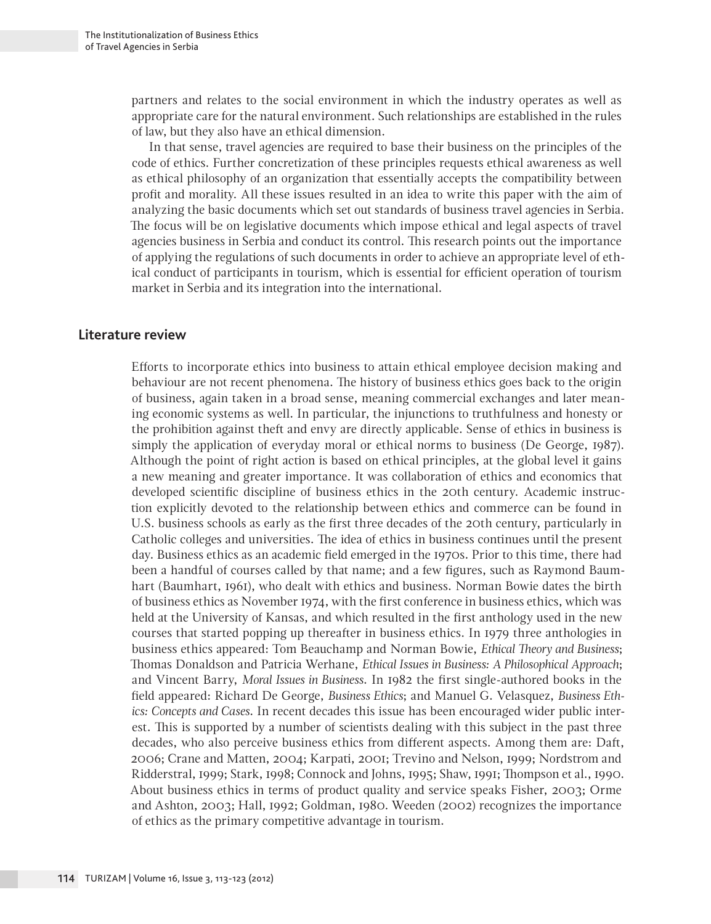partners and relates to the social environment in which the industry operates as well as appropriate care for the natural environment. Such relationships are established in the rules of law, but they also have an ethical dimension.

In that sense, travel agencies are required to base their business on the principles of the code of ethics. Further concretization of these principles requests ethical awareness as well as ethical philosophy of an organization that essentially accepts the compatibility between profit and morality. All these issues resulted in an idea to write this paper with the aim of analyzing the basic documents which set out standards of business travel agencies in Serbia. The focus will be on legislative documents which impose ethical and legal aspects of travel agencies business in Serbia and conduct its control. This research points out the importance of applying the regulations of such documents in order to achieve an appropriate level of ethical conduct of participants in tourism, which is essential for efficient operation of tourism market in Serbia and its integration into the international.

#### **Literature review**

Efforts to incorporate ethics into business to attain ethical employee decision making and behaviour are not recent phenomena. The history of business ethics goes back to the origin of business, again taken in a broad sense, meaning commercial exchanges and later meaning economic systems as well. In particular, the injunctions to truthfulness and honesty or the prohibition against theft and envy are directly applicable. Sense of ethics in business is simply the application of everyday moral or ethical norms to business (De George, 1987). Although the point of right action is based on ethical principles, at the global level it gains a new meaning and greater importance. It was collaboration of ethics and economics that developed scientific discipline of business ethics in the 20th century. Academic instruction explicitly devoted to the relationship between ethics and commerce can be found in U.S. business schools as early as the first three decades of the 20th century, particularly in Catholic colleges and universities. The idea of ethics in business continues until the present day. Business ethics as an academic field emerged in the 1970s. Prior to this time, there had been a handful of courses called by that name; and a few figures, such as Raymond Baumhart (Baumhart, 1961), who dealt with ethics and business. Norman Bowie dates the birth of business ethics as November 1974, with the first conference in business ethics, which was held at the University of Kansas, and which resulted in the first anthology used in the new courses that started popping up thereafter in business ethics. In 1979 three anthologies in business ethics appeared: Tom Beauchamp and Norman Bowie, *Ethical Theory and Business*; Thomas Donaldson and Patricia Werhane, *Ethical Issues in Business: A Philosophical Approach*; and Vincent Barry, *Moral Issues in Business*. In 1982 the first single-authored books in the field appeared: Richard De George, *Business Ethics*; and Manuel G. Velasquez, *Business Ethics: Concepts and Cases*. In recent decades this issue has been encouraged wider public interest. This is supported by a number of scientists dealing with this subject in the past three decades, who also perceive business ethics from different aspects. Among them are: Daft, 2006; Crane and Matten, 2004; Karpati, 2001; Trevino and Nelson, 1999; Nordstrom and Ridderstral, 1999; Stark, 1998; Connock and Johns, 1995; Shaw, 1991; Thompson et al., 1990. About business ethics in terms of product quality and service speaks Fisher, 2003; Orme and Ashton, 2003; Hall, 1992; Goldman, 1980. Weeden (2002) recognizes the importance of ethics as the primary competitive advantage in tourism.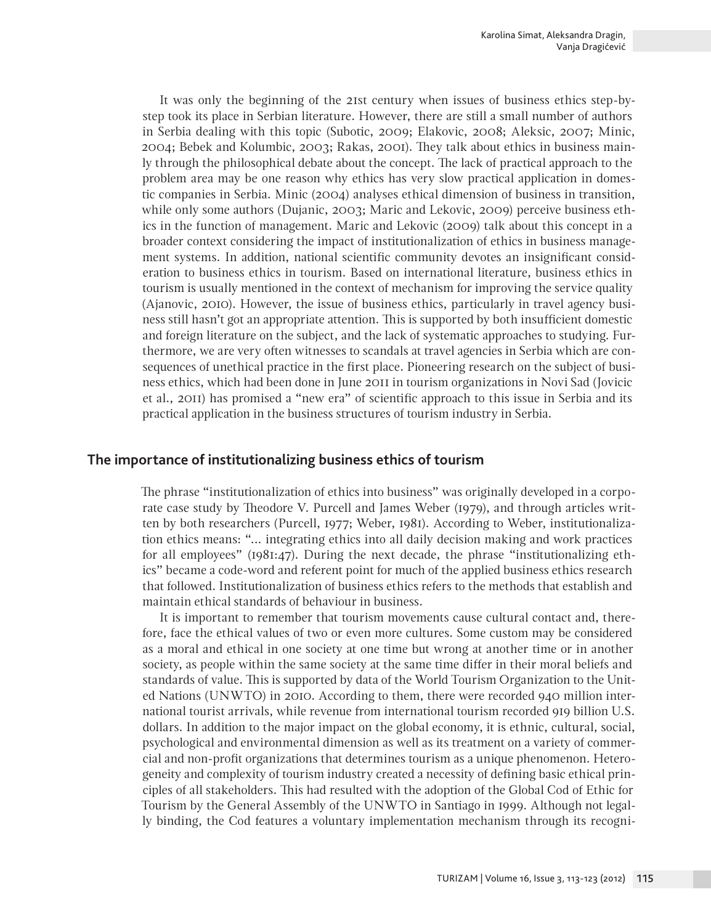It was only the beginning of the 21st century when issues of business ethics step-bystep took its place in Serbian literature. However, there are still a small number of authors in Serbia dealing with this topic (Subotic, 2009; Elakovic, 2008; Aleksic, 2007; Minic, 2004; Bebek and Kolumbic, 2003; Rakas, 2001). They talk about ethics in business mainly through the philosophical debate about the concept. The lack of practical approach to the problem area may be one reason why ethics has very slow practical application in domestic companies in Serbia. Minic (2004) analyses ethical dimension of business in transition, while only some authors (Dujanic, 2003; Maric and Lekovic, 2009) perceive business ethics in the function of management. Maric and Lekovic (2009) talk about this concept in a broader context considering the impact of institutionalization of ethics in business management systems. In addition, national scientific community devotes an insignificant consideration to business ethics in tourism. Based on international literature, business ethics in tourism is usually mentioned in the context of mechanism for improving the service quality (Ajanovic, 2010). However, the issue of business ethics, particularly in travel agency business still hasn't got an appropriate attention. This is supported by both insufficient domestic and foreign literature on the subject, and the lack of systematic approaches to studying. Furthermore, we are very often witnesses to scandals at travel agencies in Serbia which are consequences of unethical practice in the first place. Pioneering research on the subject of business ethics, which had been done in June 2011 in tourism organizations in Novi Sad (Jovicic et al., 2011) has promised a "new era" of scientific approach to this issue in Serbia and its practical application in the business structures of tourism industry in Serbia.

### **The importance of institutionalizing business ethics of tourism**

The phrase "institutionalization of ethics into business" was originally developed in a corporate case study by Theodore V. Purcell and James Weber (1979), and through articles written by both researchers (Purcell, 1977; Weber, 1981). According to Weber, institutionalization ethics means: "... integrating ethics into all daily decision making and work practices for all employees" (1981:47). During the next decade, the phrase "institutionalizing ethics" became a code-word and referent point for much of the applied business ethics research that followed. Institutionalization of business ethics refers to the methods that establish and maintain ethical standards of behaviour in business.

It is important to remember that tourism movements cause cultural contact and, therefore, face the ethical values of two or even more cultures. Some custom may be considered as a moral and ethical in one society at one time but wrong at another time or in another society, as people within the same society at the same time differ in their moral beliefs and standards of value. This is supported by data of the World Tourism Organization to the United Nations (UNWTO) in 2010. According to them, there were recorded 940 million international tourist arrivals, while revenue from international tourism recorded 919 billion U.S. dollars. In addition to the major impact on the global economy, it is ethnic, cultural, social, psychological and environmental dimension as well as its treatment on a variety of commercial and non-profit organizations that determines tourism as a unique phenomenon. Heterogeneity and complexity of tourism industry created a necessity of defining basic ethical principles of all stakeholders. This had resulted with the adoption of the Global Cod of Ethic for Tourism by the General Assembly of the UNWTO in Santiago in 1999. Although not legally binding, the Cod features a voluntary implementation mechanism through its recogni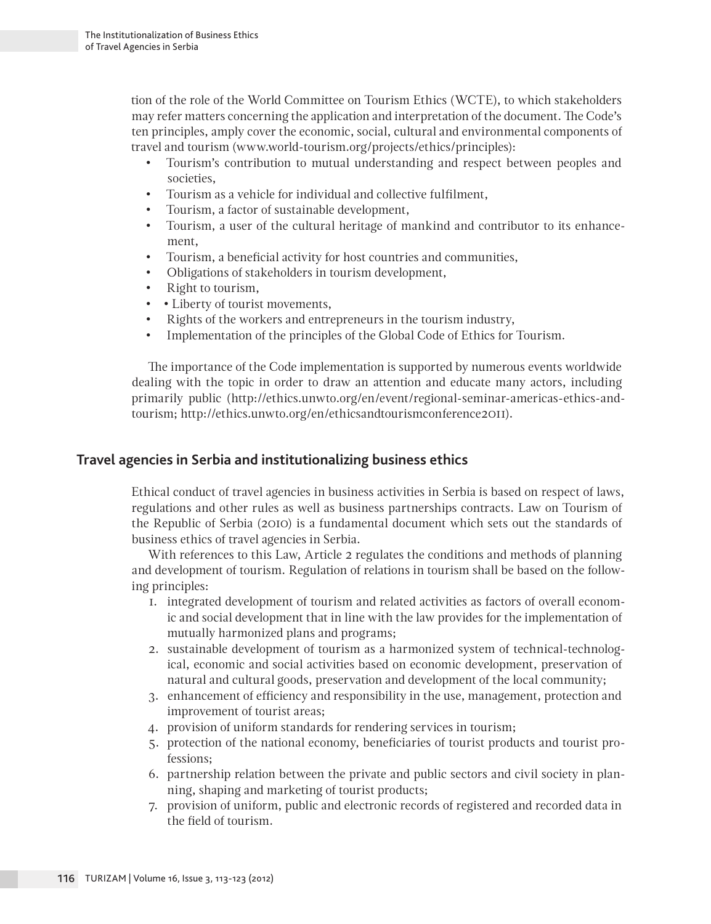tion of the role of the World Committee on Tourism Ethics (WCTE), to which stakeholders may refer matters concerning the application and interpretation of the document. The Code's ten principles, amply cover the economic, social, cultural and environmental components of travel and tourism (www.world-tourism.org/projects/ethics/principles):

- • Tourism's contribution to mutual understanding and respect between peoples and societies.
- • Tourism as a vehicle for individual and collective fulfilment,
- • Tourism, a factor of sustainable development,
- • Tourism, a user of the cultural heritage of mankind and contributor to its enhancement,
- • Tourism, a beneficial activity for host countries and communities,
- Obligations of stakeholders in tourism development,
- • Right to tourism,
- • Liberty of tourist movements,
- • Rights of the workers and entrepreneurs in the tourism industry,
- • Implementation of the principles of the Global Code of Ethics for Tourism.

The importance of the Code implementation is supported by numerous events worldwide dealing with the topic in order to draw an attention and educate many actors, including primarily public (http://ethics.unwto.org/en/event/regional-seminar-americas-ethics-andtourism; http://ethics.unwto.org/en/ethicsandtourismconference2011).

### **Travel agencies in Serbia and institutionalizing business ethics**

Ethical conduct of travel agencies in business activities in Serbia is based on respect of laws, regulations and other rules as well as business partnerships contracts. Law on Tourism of the Republic of Serbia (2010) is a fundamental document which sets out the standards of business ethics of travel agencies in Serbia.

With references to this Law, Article 2 regulates the conditions and methods of planning and development of tourism. Regulation of relations in tourism shall be based on the following principles:

- 1. integrated development of tourism and related activities as factors of overall economic and social development that in line with the law provides for the implementation of mutually harmonized plans and programs;
- 2. sustainable development of tourism as a harmonized system of technical-technological, economic and social activities based on economic development, preservation of natural and cultural goods, preservation and development of the local community;
- 3. enhancement of efficiency and responsibility in the use, management, protection and improvement of tourist areas;
- 4. provision of uniform standards for rendering services in tourism;
- 5. protection of the national economy, beneficiaries of tourist products and tourist professions;
- 6. partnership relation between the private and public sectors and civil society in planning, shaping and marketing of tourist products;
- 7. provision of uniform, public and electronic records of registered and recorded data in the field of tourism.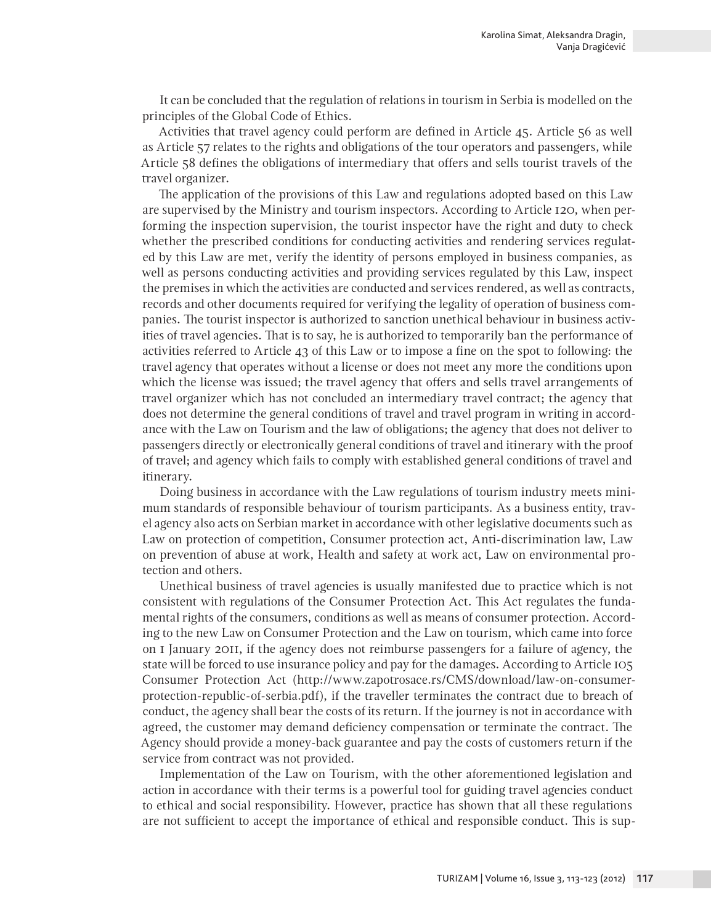It can be concluded that the regulation of relations in tourism in Serbia is modelled on the principles of the Global Code of Ethics.

Activities that travel agency could perform are defined in Article 45. Article 56 as well as Article 57 relates to the rights and obligations of the tour operators and passengers, while Article 58 defines the obligations of intermediary that offers and sells tourist travels of the travel organizer.

The application of the provisions of this Law and regulations adopted based on this Law are supervised by the Ministry and tourism inspectors. According to Article 120, when performing the inspection supervision, the tourist inspector have the right and duty to check whether the prescribed conditions for conducting activities and rendering services regulated by this Law are met, verify the identity of persons employed in business companies, as well as persons conducting activities and providing services regulated by this Law, inspect the premises in which the activities are conducted and services rendered, as well as contracts, records and other documents required for verifying the legality of operation of business companies. The tourist inspector is authorized to sanction unethical behaviour in business activities of travel agencies. That is to say, he is authorized to temporarily ban the performance of activities referred to Article 43 of this Law or to impose a fine on the spot to following: the travel agency that operates without a license or does not meet any more the conditions upon which the license was issued; the travel agency that offers and sells travel arrangements of travel organizer which has not concluded an intermediary travel contract; the agency that does not determine the general conditions of travel and travel program in writing in accordance with the Law on Tourism and the law of obligations; the agency that does not deliver to passengers directly or electronically general conditions of travel and itinerary with the proof of travel; and agency which fails to comply with established general conditions of travel and itinerary.

Doing business in accordance with the Law regulations of tourism industry meets minimum standards of responsible behaviour of tourism participants. As a business entity, travel agency also acts on Serbian market in accordance with other legislative documents such as Law on protection of competition, Consumer protection act, Anti-discrimination law, Law on prevention of abuse at work, Health and safety at work act, Law on environmental protection and others.

Unethical business of travel agencies is usually manifested due to practice which is not consistent with regulations of the Consumer Protection Act. This Act regulates the fundamental rights of the consumers, conditions as well as means of consumer protection. According to the new Law on Consumer Protection and the Law on tourism, which came into force on 1 January 2011, if the agency does not reimburse passengers for a failure of agency, the state will be forced to use insurance policy and pay for the damages. According to Article 105 Consumer Protection Act (http://www.zapotrosace.rs/CMS/download/law-on-consumerprotection-republic-of-serbia.pdf), if the traveller terminates the contract due to breach of conduct, the agency shall bear the costs of its return. If the journey is not in accordance with agreed, the customer may demand deficiency compensation or terminate the contract. The Agency should provide a money-back guarantee and pay the costs of customers return if the service from contract was not provided.

Implementation of the Law on Tourism, with the other aforementioned legislation and action in accordance with their terms is a powerful tool for guiding travel agencies conduct to ethical and social responsibility. However, practice has shown that all these regulations are not sufficient to accept the importance of ethical and responsible conduct. This is sup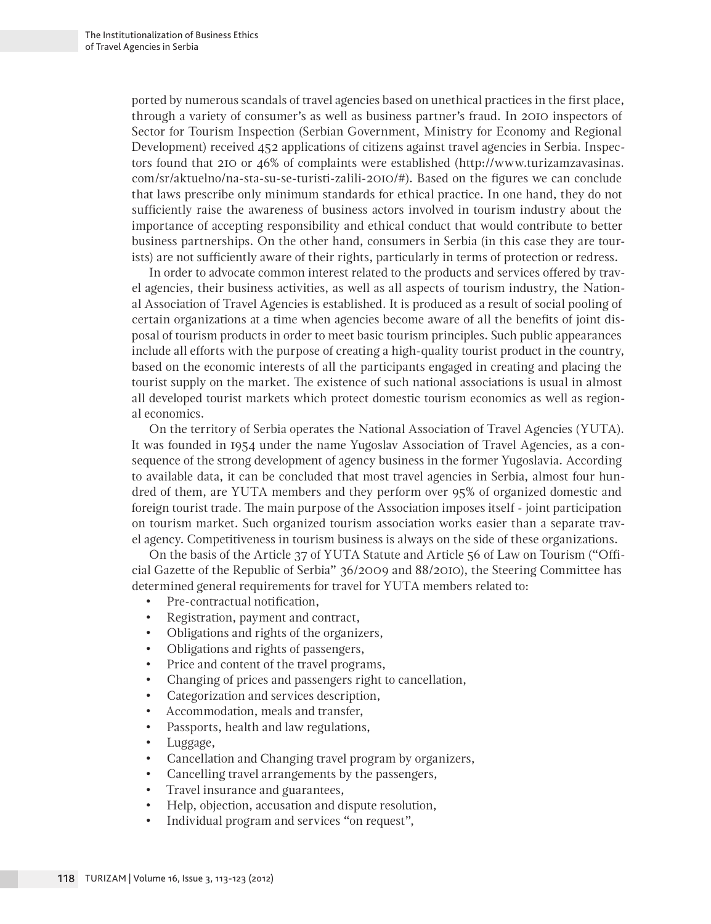ported by numerous scandals of travel agencies based on unethical practices in the first place, through a variety of consumer's as well as business partner's fraud. In 2010 inspectors of Sector for Tourism Inspection (Serbian Government, Ministry for Economy and Regional Development) received 452 applications of citizens against travel agencies in Serbia. Inspectors found that 210 or 46% of complaints were established (http://www.turizamzavasinas. com/sr/aktuelno/na-sta-su-se-turisti-zalili-2010/#). Based on the figures we can conclude that laws prescribe only minimum standards for ethical practice. In one hand, they do not sufficiently raise the awareness of business actors involved in tourism industry about the importance of accepting responsibility and ethical conduct that would contribute to better business partnerships. On the other hand, consumers in Serbia (in this case they are tourists) are not sufficiently aware of their rights, particularly in terms of protection or redress.

In order to advocate common interest related to the products and services offered by travel agencies, their business activities, as well as all aspects of tourism industry, the National Association of Travel Agencies is established. It is produced as a result of social pooling of certain organizations at a time when agencies become aware of all the benefits of joint disposal of tourism products in order to meet basic tourism principles. Such public appearances include all efforts with the purpose of creating a high-quality tourist product in the country, based on the economic interests of all the participants engaged in creating and placing the tourist supply on the market. The existence of such national associations is usual in almost all developed tourist markets which protect domestic tourism economics as well as regional economics.

On the territory of Serbia operates the National Association of Travel Agencies (YUTA). It was founded in 1954 under the name Yugoslav Association of Travel Agencies, as a consequence of the strong development of agency business in the former Yugoslavia. According to available data, it can be concluded that most travel agencies in Serbia, almost four hundred of them, are YUTA members and they perform over 95% of organized domestic and foreign tourist trade. The main purpose of the Association imposes itself - joint participation on tourism market. Such organized tourism association works easier than a separate travel agency. Competitiveness in tourism business is always on the side of these organizations.

On the basis of the Article 37 of YUTA Statute and Article 56 of Law on Tourism ("Official Gazette of the Republic of Serbia" 36/2009 and 88/2010), the Steering Committee has determined general requirements for travel for YUTA members related to:

- • Pre-contractual notification,
- • Registration, payment and contract,
- • Obligations and rights of the organizers,
- • Obligations and rights of passengers,
- Price and content of the travel programs,
- • Changing of prices and passengers right to cancellation,
- • Categorization and services description,
- • Accommodation, meals and transfer,
- • Passports, health and law regulations,
- Luggage,
- • Cancellation and Changing travel program by organizers,
- Cancelling travel arrangements by the passengers,
- • Travel insurance and guarantees,
- • Help, objection, accusation and dispute resolution,
- Individual program and services "on request",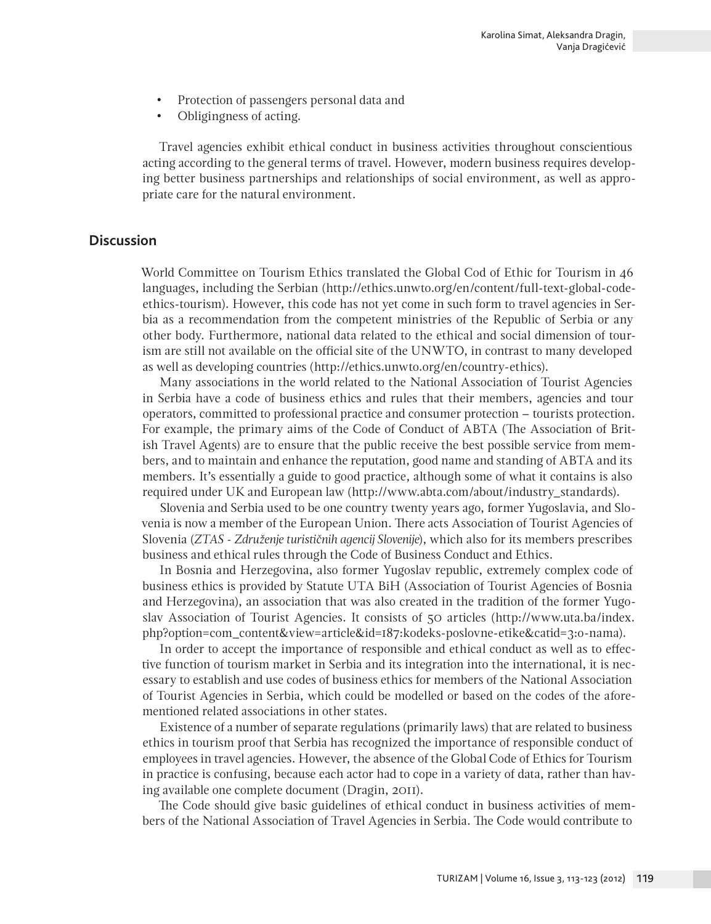- Protection of passengers personal data and
- • Obligingness of acting.

Travel agencies exhibit ethical conduct in business activities throughout conscientious acting according to the general terms of travel. However, modern business requires developing better business partnerships and relationships of social environment, as well as appropriate care for the natural environment.

### **Discussion**

World Committee on Tourism Ethics translated the Global Cod of Ethic for Tourism in 46 languages, including the Serbian (http://ethics.unwto.org/en/content/full-text-global-codeethics-tourism). However, this code has not yet come in such form to travel agencies in Serbia as a recommendation from the competent ministries of the Republic of Serbia or any other body. Furthermore, national data related to the ethical and social dimension of tourism are still not available on the official site of the UNWTO, in contrast to many developed as well as developing countries (http://ethics.unwto.org/en/country-ethics).

Many associations in the world related to the National Association of Tourist Agencies in Serbia have a code of business ethics and rules that their members, agencies and tour operators, committed to professional practice and consumer protection – tourists protection. For example, the primary aims of the Code of Conduct of ABTA (The Association of British Travel Agents) are to ensure that the public receive the best possible service from members, and to maintain and enhance the reputation, good name and standing of ABTA and its members. It's essentially a guide to good practice, although some of what it contains is also required under UK and European law (http://www.abta.com/about/industry\_standards).

Slovenia and Serbia used to be one country twenty years ago, former Yugoslavia, and Slovenia is now a member of the European Union. There acts Association of Tourist Agencies of Slovenia (*ZTAS - Združenje turističnih agencij Slovenije*), which also for its members prescribes business and ethical rules through the Code of Business Conduct and Ethics.

In Bosnia and Herzegovina, also former Yugoslav republic, extremely complex code of business ethics is provided by Statute UTA BiH (Association of Tourist Agencies of Bosnia and Herzegovina), an association that was also created in the tradition of the former Yugoslav Association of Tourist Agencies. It consists of 50 articles (http://www.uta.ba/index. php?option=com\_content&view=article&id=187:kodeks-poslovne-etike&catid=3:o-nama).

In order to accept the importance of responsible and ethical conduct as well as to effective function of tourism market in Serbia and its integration into the international, it is necessary to establish and use codes of business ethics for members of the National Association of Tourist Agencies in Serbia, which could be modelled or based on the codes of the aforementioned related associations in other states.

Existence of a number of separate regulations (primarily laws) that are related to business ethics in tourism proof that Serbia has recognized the importance of responsible conduct of employees in travel agencies. However, the absence of the Global Code of Ethics for Tourism in practice is confusing, because each actor had to cope in a variety of data, rather than having available one complete document (Dragin, 2011).

The Code should give basic guidelines of ethical conduct in business activities of members of the National Association of Travel Agencies in Serbia. The Code would contribute to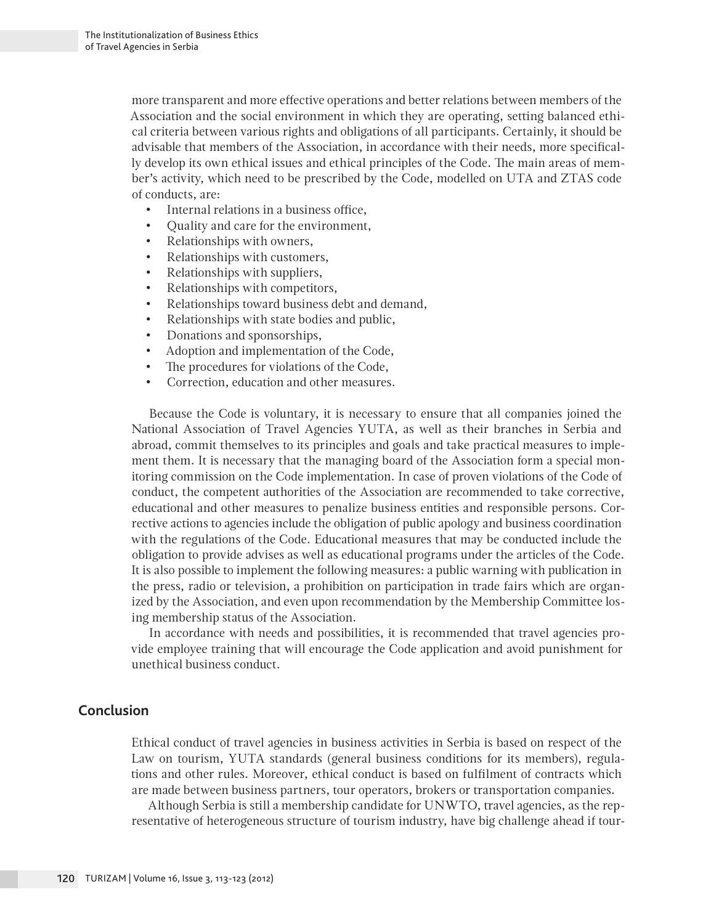more transparent and more effective operations and better relations between members of the Association and the social environment in which they are operating, setting balanced ethical criteria between various rights and obligations of all participants. Certainly, it should be advisable that members of the Association, in accordance with their needs, more specifically develop its own ethical issues and ethical principles of the Code. The main areas of member's activity, which need to be prescribed by the Code, modelled on UTA and ZTAS code of conducts, are:

- Internal relations in a business office,
- • Quality and care for the environment,
- • Relationships with owners,
- • Relationships with customers,
- • Relationships with suppliers,
- • Relationships with competitors,
- • Relationships toward business debt and demand,
- • Relationships with state bodies and public,
- Donations and sponsorships,
- • Adoption and implementation of the Code,
- The procedures for violations of the Code,
- Correction, education and other measures.

Because the Code is voluntary, it is necessary to ensure that all companies joined the National Association of Travel Agencies YUTA, as well as their branches in Serbia and abroad, commit themselves to its principles and goals and take practical measures to implement them. It is necessary that the managing board of the Association form a special monitoring commission on the Code implementation. In case of proven violations of the Code of conduct, the competent authorities of the Association are recommended to take corrective, educational and other measures to penalize business entities and responsible persons. Corrective actions to agencies include the obligation of public apology and business coordination with the regulations of the Code. Educational measures that may be conducted include the obligation to provide advises as well as educational programs under the articles of the Code. It is also possible to implement the following measures: a public warning with publication in the press, radio or television, a prohibition on participation in trade fairs which are organized by the Association, and even upon recommendation by the Membership Committee losing membership status of the Association.

In accordance with needs and possibilities, it is recommended that travel agencies provide employee training that will encourage the Code application and avoid punishment for unethical business conduct.

## **Conclusion**

Ethical conduct of travel agencies in business activities in Serbia is based on respect of the Law on tourism, YUTA standards (general business conditions for its members), regulations and other rules. Moreover, ethical conduct is based on fulfilment of contracts which are made between business partners, tour operators, brokers or transportation companies.

Although Serbia is still a membership candidate for UNWTO, travel agencies, as the representative of heterogeneous structure of tourism industry, have big challenge ahead if tour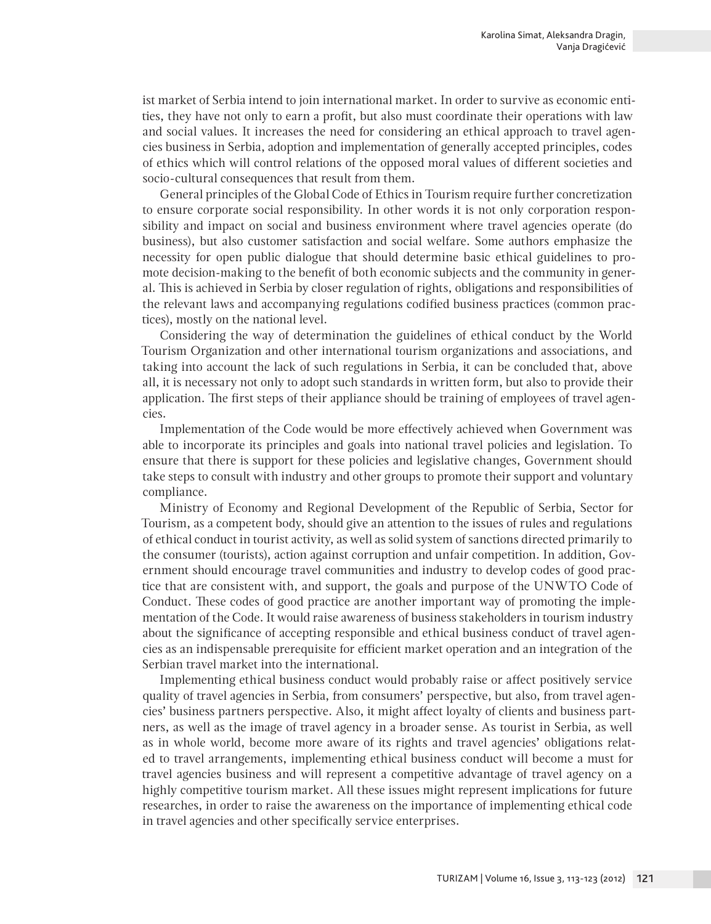ist market of Serbia intend to join international market. In order to survive as economic entities, they have not only to earn a profit, but also must coordinate their operations with law and social values. It increases the need for considering an ethical approach to travel agencies business in Serbia, adoption and implementation of generally accepted principles, codes of ethics which will control relations of the opposed moral values of different societies and socio-cultural consequences that result from them.

General principles of the Global Code of Ethics in Tourism require further concretization to ensure corporate social responsibility. In other words it is not only corporation responsibility and impact on social and business environment where travel agencies operate (do business), but also customer satisfaction and social welfare. Some authors emphasize the necessity for open public dialogue that should determine basic ethical guidelines to promote decision-making to the benefit of both economic subjects and the community in general. This is achieved in Serbia by closer regulation of rights, obligations and responsibilities of the relevant laws and accompanying regulations codified business practices (common practices), mostly on the national level.

Considering the way of determination the guidelines of ethical conduct by the World Tourism Organization and other international tourism organizations and associations, and taking into account the lack of such regulations in Serbia, it can be concluded that, above all, it is necessary not only to adopt such standards in written form, but also to provide their application. The first steps of their appliance should be training of employees of travel agencies.

Implementation of the Code would be more effectively achieved when Government was able to incorporate its principles and goals into national travel policies and legislation. To ensure that there is support for these policies and legislative changes, Government should take steps to consult with industry and other groups to promote their support and voluntary compliance.

Ministry of Economy and Regional Development of the Republic of Serbia, Sector for Tourism, as a competent body, should give an attention to the issues of rules and regulations of ethical conduct in tourist activity, as well as solid system of sanctions directed primarily to the consumer (tourists), action against corruption and unfair competition. In addition, Government should encourage travel communities and industry to develop codes of good practice that are consistent with, and support, the goals and purpose of the UNWTO Code of Conduct. These codes of good practice are another important way of promoting the implementation of the Code. It would raise awareness of business stakeholders in tourism industry about the significance of accepting responsible and ethical business conduct of travel agencies as an indispensable prerequisite for efficient market operation and an integration of the Serbian travel market into the international.

Implementing ethical business conduct would probably raise or affect positively service quality of travel agencies in Serbia, from consumers' perspective, but also, from travel agencies' business partners perspective. Also, it might affect loyalty of clients and business partners, as well as the image of travel agency in a broader sense. As tourist in Serbia, as well as in whole world, become more aware of its rights and travel agencies' obligations related to travel arrangements, implementing ethical business conduct will become a must for travel agencies business and will represent a competitive advantage of travel agency on a highly competitive tourism market. All these issues might represent implications for future researches, in order to raise the awareness on the importance of implementing ethical code in travel agencies and other specifically service enterprises.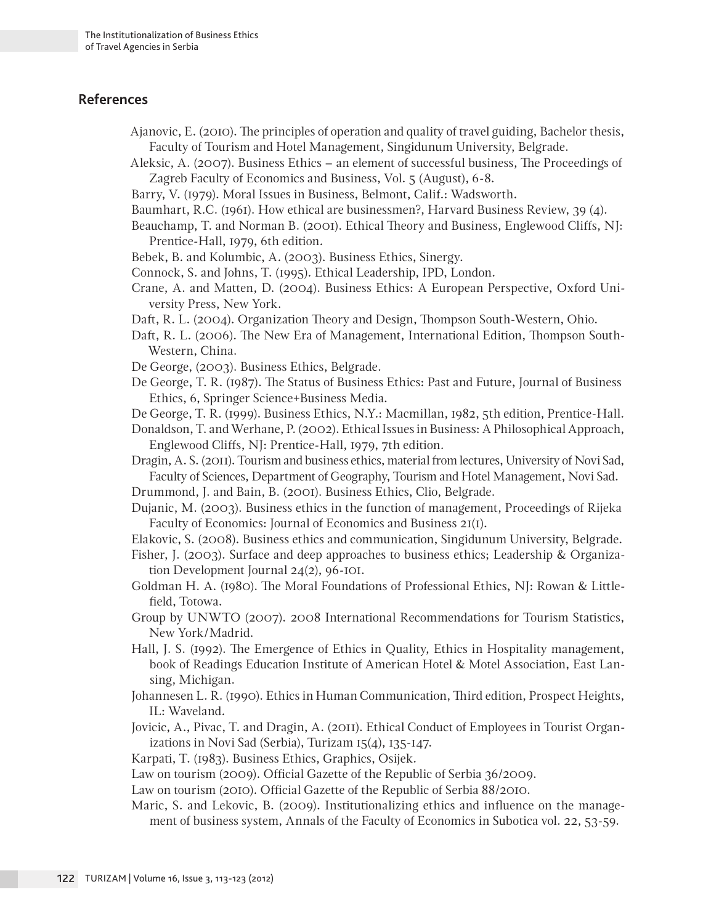### **References**

- Ajanovic, E. (2010). The principles of operation and quality of travel guiding, Bachelor thesis, Faculty of Tourism and Hotel Management, Singidunum University, Belgrade.
- Aleksic, A. (2007). Business Ethics an element of successful business, The Proceedings of Zagreb Faculty of Economics and Business, Vol. 5 (August), 6-8.
- Barry, V. (1979). Moral Issues in Business, Belmont, Calif.: Wadsworth.
- Baumhart, R.C. (1961). How ethical are businessmen?, Harvard Business Review, 39 (4).
- Beauchamp, T. and Norman B. (2001). Ethical Theory and Business, Englewood Cliffs, NJ: Prentice-Hall, 1979, 6th edition.
- Bebek, B. and Kolumbic, A. (2003). Business Ethics, Sinergy.
- Connock, S. and Johns, T. (1995). Ethical Leadership, IPD, London.
- Crane, A. and Matten, D. (2004). Business Ethics: A European Perspective, Oxford University Press, New York.
- Daft, R. L. (2004). Organization Theory and Design, Thompson South-Western, Ohio.
- Daft, R. L. (2006). The New Era of Management, International Edition, Thompson South-Western, China.
- De George, (2003). Business Ethics, Belgrade.
- De George, T. R. (1987). The Status of Business Ethics: Past and Future, Journal of Business Ethics, 6, Springer Science+Business Media.
- De George, T. R. (1999). Business Ethics, N.Y.: Macmillan, 1982, 5th edition, Prentice-Hall.
- Donaldson, T. and Werhane, P. (2002). Ethical Issues in Business: A Philosophical Approach, Englewood Cliffs, NJ: Prentice-Hall, 1979, 7th edition.
- Dragin, A. S. (2011). Tourism and business ethics, material from lectures, University of Novi Sad, Faculty of Sciences, Department of Geography, Tourism and Hotel Management, Novi Sad.
- Drummond, J. and Bain, B. (2001). Business Ethics, Clio, Belgrade.
- Dujanic, M. (2003). Business ethics in the function of management, Proceedings of Rijeka Faculty of Economics: Journal of Economics and Business 21(1).
- Elakovic, S. (2008). Business ethics and communication, Singidunum University, Belgrade.
- Fisher, J. (2003). Surface and deep approaches to business ethics; Leadership & Organization Development Journal 24(2), 96-101.
- Goldman H. A. (1980). The Moral Foundations of Professional Ethics, NJ: Rowan & Littlefield, Totowa.
- Group by UNWTO (2007). 2008 International Recommendations for Tourism Statistics, New York/Madrid.
- Hall, J. S. (1992). The Emergence of Ethics in Quality, Ethics in Hospitality management, book of Readings Education Institute of American Hotel & Motel Association, East Lansing, Michigan.
- Johannesen L. R. (1990). Ethics in Human Communication, Third edition, Prospect Heights, IL: Waveland.
- Jovicic, A., Pivac, T. and Dragin, A. (2011). Ethical Conduct of Employees in Tourist Organizations in Novi Sad (Serbia), Turizam 15(4), 135-147.
- Karpati, T. (1983). Business Ethics, Graphics, Osijek.
- Law on tourism (2009). Official Gazette of the Republic of Serbia 36/2009.
- Law on tourism (2010). Official Gazette of the Republic of Serbia 88/2010.
- Maric, S. and Lekovic, B. (2009). Institutionalizing ethics and influence on the management of business system, Annals of the Faculty of Economics in Subotica vol. 22, 53-59.